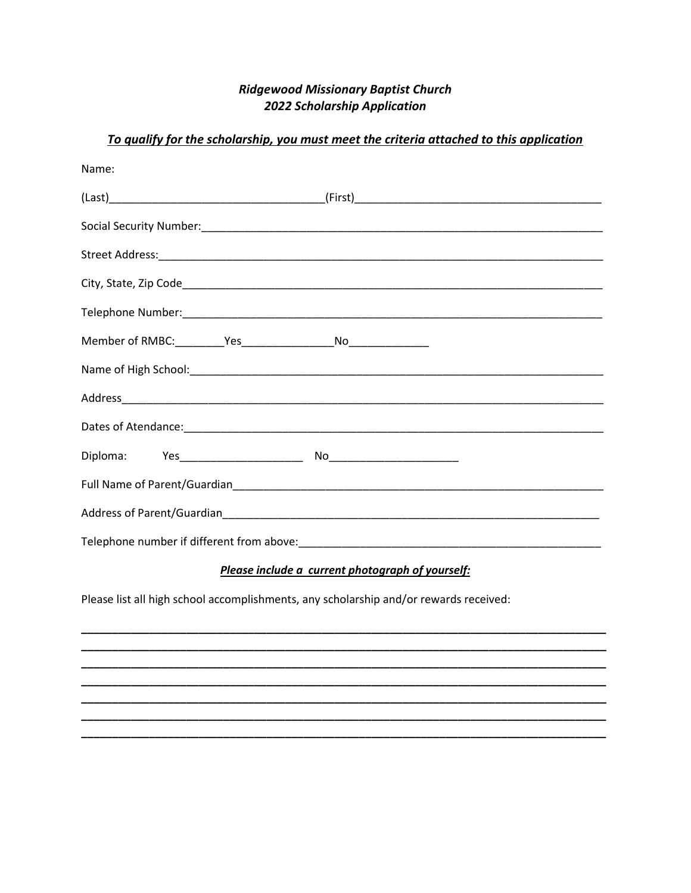## **Ridgewood Missionary Baptist Church 2022 Scholarship Application**

| Name: |  |
|-------|--|
|       |  |
|       |  |
|       |  |
|       |  |
|       |  |
|       |  |
|       |  |
|       |  |
|       |  |
|       |  |
|       |  |
|       |  |
|       |  |

## To qualify for the scholarship, you must meet the criteria attached to this application

## Please include a current photograph of yourself:

Please list all high school accomplishments, any scholarship and/or rewards received: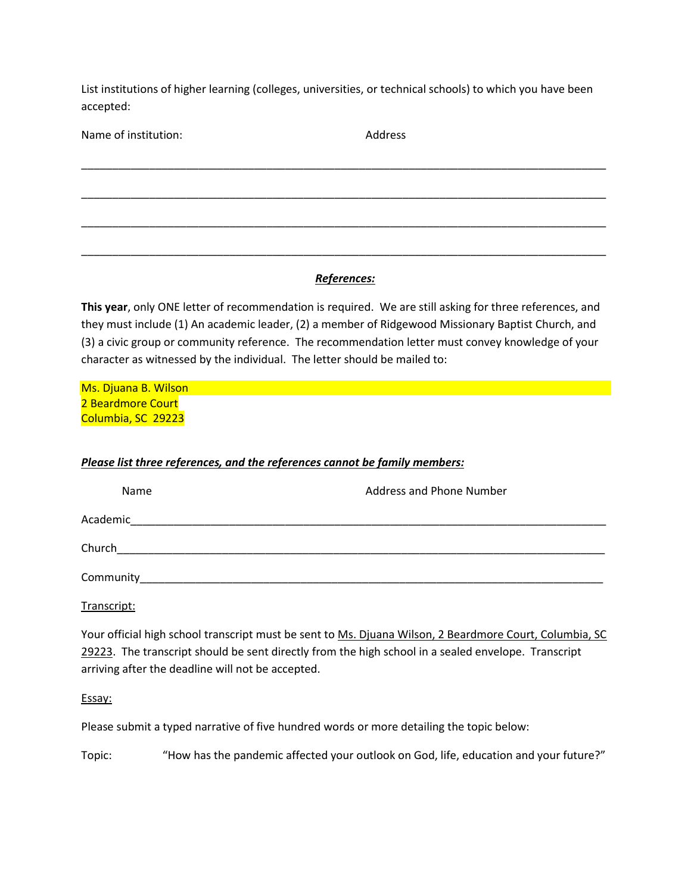List institutions of higher learning (colleges, universities, or technical schools) to which you have been accepted:

| Name of institution: | Address     |  |
|----------------------|-------------|--|
|                      |             |  |
|                      |             |  |
|                      |             |  |
|                      |             |  |
|                      | References: |  |

**This year**, only ONE letter of recommendation is required. We are still asking for three references, and they must include (1) An academic leader, (2) a member of Ridgewood Missionary Baptist Church, and (3) a civic group or community reference. The recommendation letter must convey knowledge of your character as witnessed by the individual. The letter should be mailed to:

Ms. Djuana B. Wilson 2 Beardmore Court Columbia, SC 29223

## *Please list three references, and the references cannot be family members:*

| Name      | <b>Address and Phone Number</b>                                                                                       |
|-----------|-----------------------------------------------------------------------------------------------------------------------|
| Academic  | <u> 1989 - Jan Salaman, mangang mga kalendari ng mga kalendari ng mga kalendari ng mga kalendari ng mga kalendari</u> |
| Church    |                                                                                                                       |
| Community |                                                                                                                       |

Transcript:

Your official high school transcript must be sent to Ms. Djuana Wilson, 2 Beardmore Court, Columbia, SC 29223. The transcript should be sent directly from the high school in a sealed envelope. Transcript arriving after the deadline will not be accepted.

Essay:

Please submit a typed narrative of five hundred words or more detailing the topic below:

Topic: "How has the pandemic affected your outlook on God, life, education and your future?"